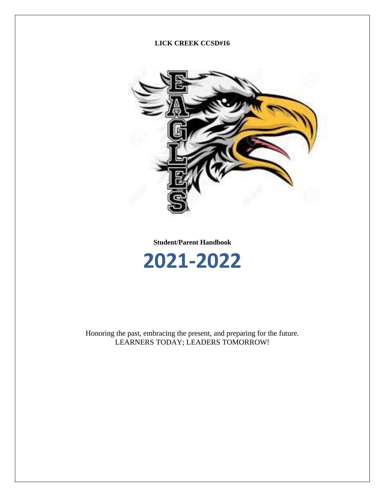### **LICK CREEK CCSD#16**



### **Student/Parent Handbook**



Honoring the past, embracing the present, and preparing for the future. LEARNERS TODAY; LEADERS TOMORROW!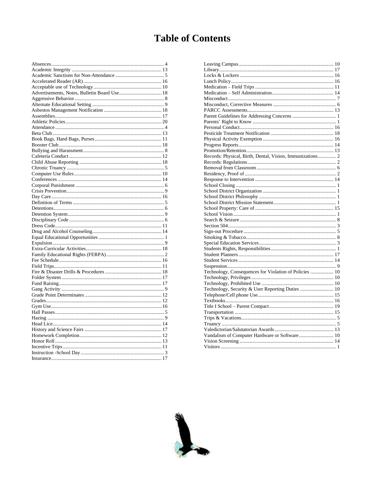# **Table of Contents**

| Advertisements, Notes, Bulletin Board Use 18 |  |
|----------------------------------------------|--|
|                                              |  |
|                                              |  |
|                                              |  |
|                                              |  |
|                                              |  |
|                                              |  |
|                                              |  |
|                                              |  |
|                                              |  |
|                                              |  |
|                                              |  |
|                                              |  |
|                                              |  |
|                                              |  |
|                                              |  |
|                                              |  |
|                                              |  |
|                                              |  |
|                                              |  |
|                                              |  |
|                                              |  |
|                                              |  |
|                                              |  |
|                                              |  |
|                                              |  |
|                                              |  |
|                                              |  |
|                                              |  |
|                                              |  |
|                                              |  |
|                                              |  |
|                                              |  |
|                                              |  |
|                                              |  |
|                                              |  |
|                                              |  |
|                                              |  |
|                                              |  |
|                                              |  |
|                                              |  |
|                                              |  |
|                                              |  |
|                                              |  |
|                                              |  |
|                                              |  |
| $\sim$ 17<br>Insurance                       |  |

| Records: Physical, Birth, Dental, Vision, Immunizations 2 |
|-----------------------------------------------------------|
|                                                           |
|                                                           |
|                                                           |
|                                                           |
|                                                           |
|                                                           |
|                                                           |
|                                                           |
|                                                           |
|                                                           |
|                                                           |
|                                                           |
|                                                           |
|                                                           |
|                                                           |
|                                                           |
|                                                           |
|                                                           |
|                                                           |
| Technology, Consequences for Violation of Policies  10    |
|                                                           |
|                                                           |
|                                                           |
|                                                           |
|                                                           |
|                                                           |
|                                                           |
|                                                           |
|                                                           |
|                                                           |
| Vandalism of Computer Hardware or Software 10             |
|                                                           |
|                                                           |
|                                                           |

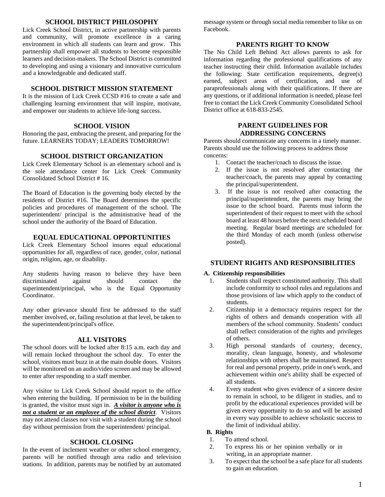### **SCHOOL DISTRICT PHILOSOPHY**

Lick Creek School District, in active partnership with parents and community, will promote excellence in a caring environment in which all students can learn and grow. This partnership shall empower all students to become responsible learners and decision-makers. The School District is committed to developing and using a visionary and innovative curriculum and a knowledgeable and dedicated staff.

### **SCHOOL DISTRICT MISSION STATEMENT**

It is the mission of Lick Creek CCSD #16 to create a safe and challenging learning environment that will inspire, motivate, and empower our students to achieve life-long success.

### **SCHOOL VISION**

Honoring the past, embracing the present, and preparing for the future. LEARNERS TODAY; LEADERS TOMORROW!

### **SCHOOL DISTRICT ORGANIZATION**

Lick Creek Elementary School is an elementary school and is the sole attendance center for Lick Creek Community Consolidated School District # 16.

The Board of Education is the governing body elected by the residents of District #16. The Board determines the specific policies and procedures of management of the school. The superintendent/ principal is the administrative head of the school under the authority of the Board of Education.

### **EQUAL EDUCATIONAL OPPORTUNITIES**

Lick Creek Elementary School insures equal educational opportunities for all, regardless of race, gender, color, national origin, religion, age, or disability.

Any students having reason to believe they have been discriminated against should contact the superintendent/principal, who is the Equal Opportunity Coordinator.

Any other grievance should first be addressed to the staff member involved, or, failing resolution at that level, be taken to the superintendent/principal's office.

### **ALL VISITORS**

The school doors will be locked after 8:15 a.m. each day and will remain locked throughout the school day. To enter the school, visitors must buzz in at the main double doors. Visitors will be monitored on an audio/video screen and may be allowed to enter after responding to a staff member.

Any visitor to Lick Creek School should report to the office when entering the building. If permission to be in the building is granted, the visitor must sign in. *A visitor is anyone who is not a student or an employee of the school district*. Visitors may not attend classes nor visit with a student during the school day without permission from the superintendent/ principal.

### **SCHOOL CLOSING**

In the event of inclement weather or other school emergency, parents will be notified through area radio and television stations. In addition, parents may be notified by an automated

message system or through social media remember to like us on Facebook.

### **PARENTS RIGHT TO KNOW**

The No Child Left Behind Act allows parents to ask for information regarding the professional qualifications of any teacher instructing their child. Information available includes the following: State certification requirements, degree(s) earned, subject areas of certification, and use of paraprofessionals along with their qualifications. If there are any questions, or if additional information is needed, please feel free to contact the Lick Creek Community Consolidated School District office at 618-833-2545.

### **PARENT GUIDELINES FOR ADDRESSING CONCERNS**

Parents should communicate any concerns in a timely manner. Parents should use the following process to address those concerns:

- 1. Contact the teacher/coach to discuss the issue.
- 2. If the issue is not resolved after contacting the teacher/coach, the parents may appeal by contacting the principal/superintendent.
- 3. If the issue is not resolved after contacting the principal/superintendent, the parents may bring the issue to the school board. Parents must inform the superintendent of their request to meet with the school board at least 48 hours before the next scheduled board meeting. Regular board meetings are scheduled for the third Monday of each month (unless otherwise posted).

### **STUDENT RIGHTS AND RESPONSIBILITIES**

### **A. Citizenship responsibilities**

- 1. Students shall respect constituted authority. This shall include conformity to school rules and regulations and those provisions of law which apply to the conduct of students.
- 2. Citizenship in a democracy requires respect for the rights of others and demands cooperation with all members of the school community. Students' conduct shall reflect consideration of the rights and privileges of others.
- 3. High personal standards of courtesy, decency, morality, clean language, honesty, and wholesome relationships with others shall be maintained. Respect for real and personal property, pride in one's work, and achievement within one's ability shall be expected of all students.
- 4. Every student who gives evidence of a sincere desire to remain in school, to be diligent in studies, and to profit by the educational experiences provided will be given every opportunity to do so and will be assisted in every way possible to achieve scholastic success to the limit of individual ability.

#### **B. Rights**

- 1. To attend school.
- 2. To express his or her opinion verbally or in writing, in an appropriate manner.
- 3. To expect that the school be a safe place for all students to gain an education.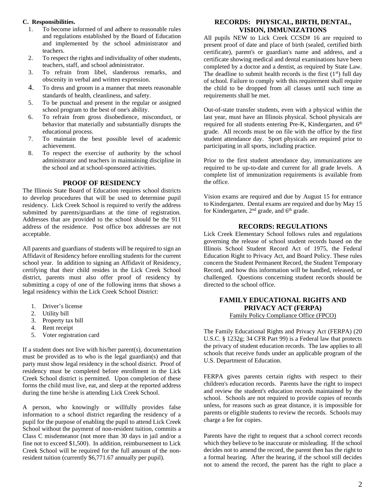### **C. Responsibilities.**

- 1. To become informed of and adhere to reasonable rules and regulations established by the Board of Education and implemented by the school administrator and teachers.
- 2. To respect the rights and individuality of other students, teachers, staff, and school administrator.
- 3. To refrain from libel, slanderous remarks, and obscenity in verbal and written expression.
- 4. To dress and groom in a manner that meets reasonable standards of health, cleanliness, and safety.
- 5. To be punctual and present in the regular or assigned school program to the best of one's ability.
- 6. To refrain from gross disobedience, misconduct, or behavior that materially and substantially disrupts the educational process.
- 7. To maintain the best possible level of academic achievement.
- 8. To respect the exercise of authority by the school administrator and teachers in maintaining discipline in the school and at school-sponsored activities.

### **PROOF OF RESIDENCY**

The Illinois State Board of Education requires school districts to develop procedures that will be used to determine pupil residency. Lick Creek School is required to verify the address submitted by parents/guardians at the time of registration. Addresses that are provided to the school should be the 911 address of the residence. Post office box addresses are not acceptable.

All parents and guardians of students will be required to sign an Affidavit of Residency before enrolling students for the current school year. In addition to signing an Affidavit of Residency, certifying that their child resides in the Lick Creek School district, parents must also offer proof of residency by submitting a copy of one of the following items that shows a legal residency within the Lick Creek School District:

- 1. Driver's license
- 2. Utility bill
- 3. Property tax bill
- 4. Rent receipt
- 5. Voter registration card

If a student does not live with his/her parent(s), documentation must be provided as to who is the legal guardian(s) and that party must show legal residency in the school district. Proof of residency must be completed before enrollment in the Lick Creek School district is permitted. Upon completion of these forms the child must live, eat, and sleep at the reported address during the time he/she is attending Lick Creek School.

A person, who knowingly or willfully provides false information to a school district regarding the residency of a pupil for the purpose of enabling the pupil to attend Lick Creek School without the payment of non-resident tuition, commits a Class C misdemeanor (not more than 30 days in jail and/or a fine not to exceed \$1,500). In addition, reimbursement to Lick Creek School will be required for the full amount of the nonresident tuition (currently \$6,771.67 annually per pupil).

### **RECORDS: PHYSICAL, BIRTH, DENTAL, VISION, IMMUNIZATIONS**

All pupils NEW to Lick Creek CCSD# 16 are required to present proof of date and place of birth (sealed, certified birth certificate), parent's or guardian's name and address, and a certificate showing medical and dental examinations have been completed by a doctor and a dentist, as required by State Law. The deadline to submit health records is the first  $(1<sup>st</sup>)$  full day of school. Failure to comply with this requirement shall require the child to be dropped from all classes until such time as requirements shall be met.

Out-of-state transfer students, even with a physical within the last year, must have an Illinois physical. School physicals are required for all students entering Pre-K, Kindergarten, and 6<sup>th</sup> grade. All records must be on file with the office by the first student attendance day. Sport physicals are required prior to participating in all sports, including practice.

Prior to the first student attendance day, immunizations are required to be up-to-date and current for all grade levels. A complete list of immunization requirements is available from the office.

Vision exams are required and due by August 15 for entrance to Kindergarten. Dental exams are required and due by May 15 for Kindergarten,  $2<sup>nd</sup>$  grade, and  $6<sup>th</sup>$  grade.

### **RECORDS: REGULATIONS**

Lick Creek Elementary School follows rules and regulations governing the release of school student records based on the Illinois School Student Record Act of 1975, the Federal Education Right to Privacy Act, and Board Policy. These rules concern the Student Permanent Record, the Student Temporary Record, and how this information will be handled, released, or challenged. Questions concerning student records should be directed to the school office.

## **FAMILY EDUCATIONAL RIGHTS AND PRIVACY ACT (FERPA)**

Family Policy Compliance Office (FPCO)

The Family Educational Rights and Privacy Act (FERPA) (20 U.S.C. § 1232g; 34 CFR Part 99) is a Federal law that protects the privacy of student education records. The law applies to all schools that receive funds under an applicable program of the U.S. Department of Education.

FERPA gives parents certain rights with respect to their children's education records. Parents have the right to inspect and review the student's education records maintained by the school. Schools are not required to provide copies of records unless, for reasons such as great distance, it is impossible for parents or eligible students to review the records. Schools may charge a fee for copies.

Parents have the right to request that a school correct records which they believe to be inaccurate or misleading. If the school decides not to amend the record, the parent then has the right to a formal hearing. After the hearing, if the school still decides not to amend the record, the parent has the right to place a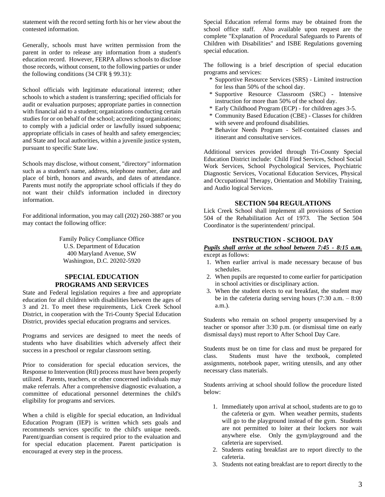statement with the record setting forth his or her view about the contested information.

Generally, schools must have written permission from the parent in order to release any information from a student's education record. However, FERPA allows schools to disclose those records, without consent, to the following parties or under the following conditions (34 CFR § 99.31):

School officials with legitimate educational interest; other schools to which a student is transferring; specified officials for audit or evaluation purposes; appropriate parties in connection with financial aid to a student; organizations conducting certain studies for or on behalf of the school; accrediting organizations; to comply with a judicial order or lawfully issued subpoena; appropriate officials in cases of health and safety emergencies; and State and local authorities, within a juvenile justice system, pursuant to specific State law.

Schools may disclose, without consent, "directory" information such as a student's name, address, telephone number, date and place of birth, honors and awards, and dates of attendance. Parents must notify the appropriate school officials if they do not want their child's information included in directory information.

For additional information, you may call (202) 260-3887 or you may contact the following office:

> Family Policy Compliance Office U.S. Department of Education 400 Maryland Avenue, SW Washington, D.C. 20202-5920

### **SPECIAL EDUCATION PROGRAMS AND SERVICES**

State and Federal legislation requires a free and appropriate education for all children with disabilities between the ages of 3 and 21. To meet these requirements, Lick Creek School District, in cooperation with the Tri-County Special Education District, provides special education programs and services.

Programs and services are designed to meet the needs of students who have disabilities which adversely affect their success in a preschool or regular classroom setting.

Prior to consideration for special education services, the Response to Intervention (RtI) process must have been properly utilized. Parents, teachers, or other concerned individuals may make referrals. After a comprehensive diagnostic evaluation, a committee of educational personnel determines the child's eligibility for programs and services.

When a child is eligible for special education, an Individual Education Program (IEP) is written which sets goals and recommends services specific to the child's unique needs. Parent/guardian consent is required prior to the evaluation and for special education placement. Parent participation is encouraged at every step in the process.

Special Education referral forms may be obtained from the school office staff. Also available upon request are the complete "Explanation of Procedural Safeguards to Parents of Children with Disabilities" and ISBE Regulations governing special education.

The following is a brief description of special education programs and services:

- \* Supportive Resource Services (SRS) Limited instruction for less than 50% of the school day.
- \* Supportive Resource Classroom (SRC) Intensive instruction for more than 50% of the school day.
- \* Early Childhood Program (ECP) for children ages 3-5.
- \* Community Based Education (CBE) Classes for children with severe and profound disabilities.
- \* Behavior Needs Program Self-contained classes and itinerant and consultative services.

Additional services provided through Tri-County Special Education District include: Child Find Services, School Social Work Services, School Psychological Services, Psychiatric Diagnostic Services, Vocational Education Services, Physical and Occupational Therapy, Orientation and Mobility Training, and Audio logical Services.

### **SECTION 504 REGULATIONS**

Lick Creek School shall implement all provisions of Section 504 of the Rehabilitation Act of 1973. The Section 504 Coordinator is the superintendent/ principal.

### **INSTRUCTION - SCHOOL DAY**

*Pupils shall arrive at the school between 7:45 - 8:15 a.m.* except as follows:

- 1. When earlier arrival is made necessary because of bus schedules.
- 2. When pupils are requested to come earlier for participation in school activities or disciplinary action.
- 3. When the student elects to eat breakfast, the student may be in the cafeteria during serving hours  $(7:30 \text{ a.m.} - 8:00)$ a.m.).

Students who remain on school property unsupervised by a teacher or sponsor after 3:30 p.m. (or dismissal time on early dismissal days) must report to After School Day Care.

Students must be on time for class and must be prepared for class. Students must have the textbook, completed assignments, notebook paper, writing utensils, and any other necessary class materials.

Students arriving at school should follow the procedure listed below:

- 1. Immediately upon arrival at school, students are to go to the cafeteria or gym. When weather permits, students will go to the playground instead of the gym. Students are not permitted to loiter at their lockers nor wait anywhere else. Only the gym/playground and the cafeteria are supervised.
- 2. Students eating breakfast are to report directly to the cafeteria.
- 3. Students not eating breakfast are to report directly to the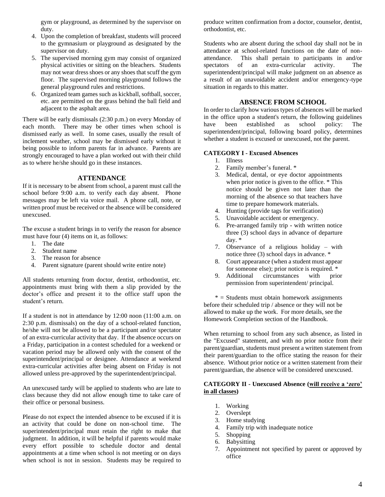gym or playground, as determined by the supervisor on duty.

- 4. Upon the completion of breakfast, students will proceed to the gymnasium or playground as designated by the supervisor on duty.
- 5. The supervised morning gym may consist of organized physical activities or sitting on the bleachers. Students may not wear dress shoes or any shoes that scuff the gym floor. The supervised morning playground follows the general playground rules and restrictions.
- 6. Organized team games such as kickball, softball, soccer, etc. are permitted on the grass behind the ball field and adjacent to the asphalt area.

There will be early dismissals (2:30 p.m.) on every Monday of each month. There may be other times when school is dismissed early as well. In some cases, usually the result of inclement weather, school may be dismissed early without it being possible to inform parents far in advance. Parents are strongly encouraged to have a plan worked out with their child as to where he/she should go in these instances.

#### **ATTENDANCE**

If it is necessary to be absent from school, a parent must call the school before 9:00 a.m. to verify each day absent. Phone messages may be left via voice mail. A phone call, note, or written proof must be received or the absence will be considered unexcused.

The excuse a student brings in to verify the reason for absence must have four (4) items on it, as follows:

- 1. The date
- 2. Student name
- 3. The reason for absence
- 4. Parent signature (parent should write entire note)

All students returning from doctor, dentist, orthodontist, etc. appointments must bring with them a slip provided by the doctor's office and present it to the office staff upon the student's return.

If a student is not in attendance by 12:00 noon (11:00 a.m. on 2:30 p.m. dismissals) on the day of a school-related function, he/she will not be allowed to be a participant and/or spectator of an extra-curricular activity that day. If the absence occurs on a Friday, participation in a contest scheduled for a weekend or vacation period may be allowed only with the consent of the superintendent/principal or designee. Attendance at weekend extra-curricular activities after being absent on Friday is not allowed unless pre-approved by the superintendent/principal.

An unexcused tardy will be applied to students who are late to class because they did not allow enough time to take care of their office or personal business.

Please do not expect the intended absence to be excused if it is an activity that could be done on non-school time. The superintendent/principal must retain the right to make that judgment. In addition, it will be helpful if parents would make every effort possible to schedule doctor and dental appointments at a time when school is not meeting or on days when school is not in session. Students may be required to

produce written confirmation from a doctor, counselor, dentist, orthodontist, etc.

Students who are absent during the school day shall not be in attendance at school-related functions on the date of nonattendance. This shall pertain to participants in and/or spectators of an extra-curricular activity. The superintendent/principal will make judgment on an absence as a result of an unavoidable accident and/or emergency-type situation in regards to this matter.

#### **ABSENCE FROM SCHOOL**

In order to clarify how various types of absences will be marked in the office upon a student's return, the following guidelines have been established as school policy: The superintendent/principal, following board policy, determines whether a student is excused or unexcused, not the parent.

#### **CATEGORY I - Excused Absences**

- 1. Illness
- 2. Family member's funeral. \*
- 3. Medical, dental, or eye doctor appointments when prior notice is given to the office.  $*$  This notice should be given not later than the morning of the absence so that teachers have time to prepare homework materials.
- 4. Hunting (provide tags for verification)
- 5. Unavoidable accident or emergency.
- 6. Pre-arranged family trip **-** with written notice three (3) school days in advance of departure day. \*
- 7. Observance of a religious holiday with notice three (3) school days in advance. \*
- 8. Court appearance (when a student must appear for someone else); prior notice is required. \*
- 9. Additional circumstances with prior permission from superintendent/ principal.

 $* =$  Students must obtain homework assignments before their scheduled trip / absence or they will not be allowed to make up the work. For more details, see the Homework Completion section of the Handbook.

When returning to school from any such absence, as listed in the "Excused" statement, and with no prior notice from their parent/guardian, students must present a written statement from their parent/guardian to the office stating the reason for their absence. Without prior notice or a written statement from their parent/guardian, the absence will be considered unexcused.

#### **CATEGORY II - Unexcused Absence (will receive a 'zero' in all classes)**

- 1. Working
- 2. Overslept
- 3. Home studying
- 4. Family trip with inadequate notice
- 5. Shopping
- 6. Babysitting
- 7. Appointment not specified by parent or approved by office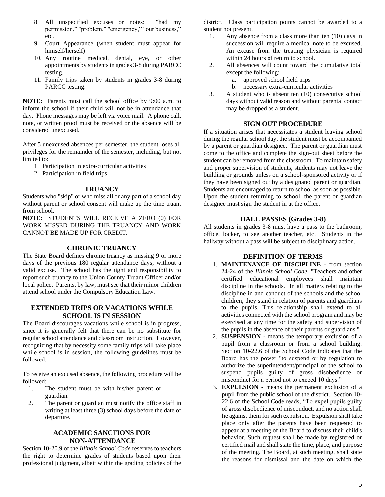- 8. All unspecified excuses or notes: "had my permission," "problem," "emergency," "our business," etc.
- 9. Court Appearance (when student must appear for himself/herself)
- 10. Any routine medical, dental, eye, or other appointments by students in grades 3-8 during PARCC testing.
- 11. Family trips taken by students in grades 3-8 during PARCC testing.

**NOTE:** Parents must call the school office by 9:00 a.m. to inform the school if their child will not be in attendance that day. Phone messages may be left via voice mail. A phone call, note, or written proof must be received or the absence will be considered unexcused.

After 5 unexcused absences per semester, the student loses all privileges for the remainder of the semester, including, but not limited to:

- 1. Participation in extra-curricular activities
- 2. Participation in field trips

#### **TRUANCY**

Students who "skip" or who miss all or any part of a school day without parent or school consent will make up the time truant from school.

**NOTE:** STUDENTS WILL RECEIVE A ZERO (0) FOR WORK MISSED DURING THE TRUANCY AND WORK CANNOT BE MADE UP FOR CREDIT.

### **CHRONIC TRUANCY**

The State Board defines chronic truancy as missing 9 or more days of the previous 180 regular attendance days, without a valid excuse. The school has the right and responsibility to report such truancy to the Union County Truant Officer and/or local police. Parents, by law, must see that their minor children attend school under the Compulsory Education Law.

### **EXTENDED TRIPS OR VACATIONS WHILE SCHOOL IS IN SESSION**

The Board discourages vacations while school is in progress, since it is generally felt that there can be no substitute for regular school attendance and classroom instruction. However, recognizing that by necessity some family trips will take place while school is in session, the following guidelines must be followed:

To receive an excused absence, the following procedure will be followed:

- 1. The student must be with his/her parent or guardian.
- 2. The parent or guardian must notify the office staff in writing at least three (3) school days before the date of departure.

### **ACADEMIC SANCTIONS FOR NON-ATTENDANCE**

Section 10-20.9 of the *Illinois School Code* reserves to teachers the right to determine grades of students based upon their professional judgment, albeit within the grading policies of the district. Class participation points cannot be awarded to a student not present.

- 1. Any absence from a class more than ten (10) days in succession will require a medical note to be excused. An excuse from the treating physician is required within 24 hours of return to school.
- 2. All absences will count toward the cumulative total except the following:
	- a. approved school field trips
	- b. necessary extra-curricular activities
- 3. A student who is absent ten (10) consecutive school days without valid reason and without parental contact may be dropped as a student.

#### **SIGN OUT PROCEDURE**

If a situation arises that necessitates a student leaving school during the regular school day, the student must be accompanied by a parent or guardian designee. The parent or guardian must come to the office and complete the sign-out sheet before the student can be removed from the classroom. To maintain safety and proper supervision of students, students may not leave the building or grounds unless on a school-sponsored activity or if they have been signed out by a designated parent or guardian. Students are encouraged to return to school as soon as possible. Upon the student returning to school, the parent or guardian designee must sign the student in at the office.

#### **HALL PASSES (Grades 3-8)**

All students in grades 3-8 must have a pass to the bathroom, office, locker, to see another teacher, etc. Students in the hallway without a pass will be subject to disciplinary action.

### **DEFINITION OF TERMS**

- 1. **MAINTENANCE OF DISCIPLINE** from section 24-24 of the *Illinois School Code*. "Teachers and other certified educational employees shall maintain discipline in the schools. In all matters relating to the discipline in and conduct of the schools and the school children, they stand in relation of parents and guardians to the pupils. This relationship shall extend to all activities connected with the school program and may be exercised at any time for the safety and supervision of the pupils in the absence of their parents or guardians."
- 2. **SUSPENSION** means the temporary exclusion of a pupil from a classroom or from a school building. Section 10-22.6 of the School Code indicates that the Board has the power "to suspend or by regulation to authorize the superintendent/principal of the school to suspend pupils guilty of gross disobedience or misconduct for a period not to exceed 10 days."
- 3. **EXPULSION -** means the permanent exclusion of a pupil from the public school of the district. Section 10- 22.6 of the School Code reads, "To expel pupils guilty of gross disobedience of misconduct, and no action shall lie against them for such expulsion. Expulsion shall take place only after the parents have been requested to appear at a meeting of the Board to discuss their child's behavior. Such request shall be made by registered or certified mail and shall state the time, place, and purpose of the meeting. The Board, at such meeting, shall state the reasons for dismissal and the date on which the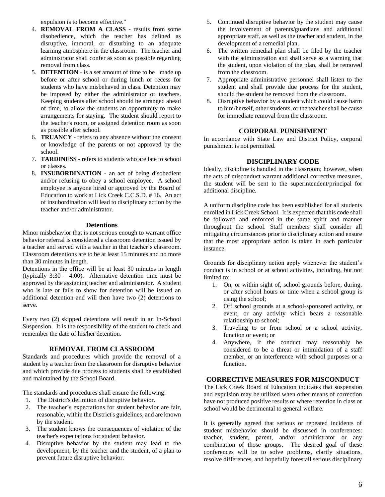expulsion is to become effective."

- 4. **REMOVAL FROM A CLASS** results from some disobedience, which the teacher has defined as disruptive, immoral, or disturbing to an adequate learning atmosphere in the classroom. The teacher and administrator shall confer as soon as possible regarding removal from class.
- 5. **DETENTION** is a set amount of time to be made up before or after school or during lunch or recess for students who have misbehaved in class. Detention may be imposed by either the administrator or teachers. Keeping students after school should be arranged ahead of time, to allow the students an opportunity to make arrangements for staying. The student should report to the teacher's room, or assigned detention room as soon as possible after school.
- 6. **TRUANCY** refers to any absence without the consent or knowledge of the parents or not approved by the school.
- 7. **TARDINESS** refers to students who are late to school or classes.
- 8. **INSUBORDINATION -** an act of being disobedient and/or refusing to obey a school employee. A school employee is anyone hired or approved by the Board of Education to work at Lick Creek C.C.S.D. # 16. An act of insubordination will lead to disciplinary action by the teacher and/or administrator.

### **Detentions**

Minor misbehavior that is not serious enough to warrant office behavior referral is considered a classroom detention issued by a teacher and served with a teacher in that teacher's classroom. Classroom detentions are to be at least 15 minutes and no more than 30 minutes in length.

Detentions in the office will be at least 30 minutes in length (typically 3:30 – 4:00). Alternative detention time must be approved by the assigning teacher and administrator.A student who is late or fails to show for detention will be issued an additional detention and will then have two (2) detention**s** to serve.

Every two (2) skipped detentions will result in an In-School Suspension. It is the responsibility of the student to check and remember the date of his/her detention.

#### **REMOVAL FROM CLASSROOM**

Standards and procedures which provide the removal of a student by a teacher from the classroom for disruptive behavior and which provide due process to students shall be established and maintained by the School Board.

The standards and procedures shall ensure the following:

- 1. The District's definition of disruptive behavior.
- 2. The teacher's expectations for student behavior are fair, reasonable, within the District's guidelines, and are known by the student.
- 3. The student knows the consequences of violation of the teacher's expectations for student behavior.
- 4. Disruptive behavior by the student may lead to the development, by the teacher and the student, of a plan to prevent future disruptive behavior.
- 5. Continued disruptive behavior by the student may cause the involvement of parents/guardians and additional appropriate staff, as well as the teacher and student, in the development of a remedial plan.
- 6. The written remedial plan shall be filed by the teacher with the administration and shall serve as a warning that the student, upon violation of the plan, shall be removed from the classroom.
- 7. Appropriate administrative personnel shall listen to the student and shall provide due process for the student, should the student be removed from the classroom.
- 8. Disruptive behavior by a student which could cause harm to him/herself, other students, or the teacher shall be cause for immediate removal from the classroom.

### **CORPORAL PUNISHMENT**

In accordance with State Law and District Policy, corporal punishment is not permitted.

### **DISCIPLINARY CODE**

Ideally, discipline is handled in the classroom; however, when the acts of misconduct warrant additional corrective measures, the student will be sent to the superintendent/principal for additional discipline.

A uniform discipline code has been established for all students enrolled in Lick Creek School. It is expected that this code shall be followed and enforced in the same spirit and manner throughout the school. Staff members shall consider all mitigating circumstances prior to disciplinary action and ensure that the most appropriate action is taken in each particular instance.

Grounds for disciplinary action apply whenever the student's conduct is in school or at school activities, including, but not limited to:

- 1. On, or within sight of, school grounds before, during, or after school hours or time when a school group is using the school;
- 2. Off school grounds at a school-sponsored activity, or event, or any activity which bears a reasonable relationship to school;
- 3. Traveling to or from school or a school activity, function or event; or
- 4. Anywhere, if the conduct may reasonably be considered to be a threat or intimidation of a staff member, or an interference with school purposes or a function.

### **CORRECTIVE MEASURES FOR MISCONDUCT**

The Lick Creek Board of Education indicates that suspension and expulsion may be utilized when other means of correction have not produced positive results or where retention in class or school would be detrimental to general welfare.

It is generally agreed that serious or repeated incidents of student misbehavior should be discussed in conferences: teacher, student, parent, and/or administrator or any combination of those groups. The desired goal of these conferences will be to solve problems, clarify situations, resolve differences, and hopefully forestall serious disciplinary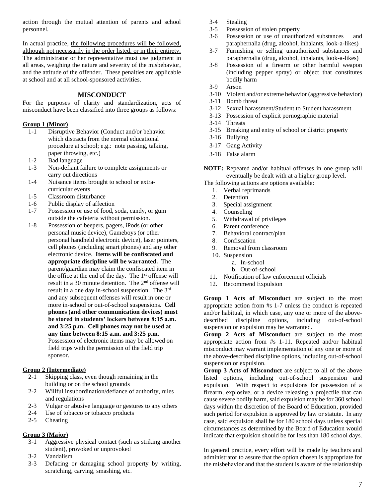action through the mutual attention of parents and school personnel.

In actual practice, the following procedures will be followed, although not necessarily in the order listed, or in their entirety. The administrator or her representative must use judgment in all areas, weighing the nature and severity of the misbehavior, and the attitude of the offender. These penalties are applicable at school and at all school-sponsored activities.

### **MISCONDUCT**

For the purposes of clarity and standardization, acts of misconduct have been classified into three groups as follows:

### **Group 1 (Minor)**

- 1-1 Disruptive Behavior (Conduct and/or behavior which distracts from the normal educational procedure at school; e.g.: note passing, talking, paper throwing, etc.)
- 1-2 Bad language
- 1-3 Non-defiant failure to complete assignments or carry out directions
- 1-4 Nuisance items brought to school or extracurricular events
- 1-5 Classroom disturbance
- 1-6 Public display of affection
- 1-7 Possession or use of food, soda, candy, or gum outside the cafeteria without permission.
- 1-8 Possession of beepers, pagers, iPods (or other personal music device), Gameboys (or other personal handheld electronic device), laser pointers, cell phones (including smart phones) and any other electronic device. **Items will be confiscated and appropriate discipline will be warranted.** The parent/guardian may claim the confiscated item in the office at the end of the day. The 1<sup>st</sup> offense will result in a 30 minute detention. The 2nd offense will result in a one day in-school suspension. The 3rd and any subsequent offenses will result in one or more in-school or out-of-school suspensions. **Cell phones (and other communication devices) must be stored in students' lockers between 8:15 a.m. and 3:25 p.m. Cell phones may not be used at any time between 8:15 a.m. and 3:25 p.m**. Possession of electronic items may be allowed on field trips with the permission of the field trip sponsor.

### **Group 2 (Intermediate)**

- 2-1 Skipping class, even though remaining in the building or on the school grounds
- 2-2 Willful insubordination/defiance of authority, rules and regulations
- 2-3 Vulgar or abusive language or gestures to any others
- 2-4 Use of tobacco or tobacco products<br>2-5 Cheating
- Cheating

### **Group 3 (Major)**

- 3-1 Aggressive physical contact (such as striking another student), provoked or unprovoked
- 3-2 Vandalism
- 3-3 Defacing or damaging school property by writing, scratching, carving, smashing, etc.
- 3-4 Stealing
- 3-5 Possession of stolen property
- 3-6 Possession or use of unauthorized substances and paraphernalia (drug, alcohol, inhalants, look-a-likes)
- 3-7 Furnishing or selling unauthorized substances and paraphernalia (drug, alcohol, inhalants, look-a-likes)
- 3-8 Possession of a firearm or other harmful weapon (including pepper spray) or object that constitutes bodily harm
- 3-9 Arson
- 3-10 Violent and/or extreme behavior (aggressive behavior)
- 3-11 Bomb threat
- 3-12 Sexual harassment/Student to Student harassment
- 3-13 Possession of explicit pornographic material
- 3-14 Threats
- 3-15 Breaking and entry of school or district property
- 3-16 Bullying
- 3-17 Gang Activity
- 3-18 False alarm
- **NOTE:** Repeated and/or habitual offenses in one group will eventually be dealt with at a higher group level.
- The following actions are options available:
	- 1. Verbal reprimands
	- 2. Detention
	- 3. Special assignment
	- 4. Counseling
	- 5. Withdrawal of privileges
	- 6. Parent conference
	- 7. Behavioral contract/plan
	- 8. Confiscation
	- 9. Removal from classroom
	- 10. Suspension
		- a. In-school
		- b. Out-of-school
	- 11. Notification of law enforcement officials
	- 12. Recommend Expulsion

**Group 1 Acts of Misconduct** are subject to the most appropriate action from #s 1-7 unless the conduct is repeated and/or habitual, in which case, any one or more of the abovedescribed discipline options, including out-of-school suspension or expulsion may be warranted.

**Group 2 Acts of Misconduct** are subject to the most appropriate action from #s 1-11. Repeated and/or habitual misconduct may warrant implementation of any one or more of the above-described discipline options, including out-of-school suspension or expulsion.

**Group 3 Acts of Misconduct** are subject to all of the above listed options, including out-of-school suspension and expulsion. With respect to expulsions for possession of a firearm, explosive, or a device releasing a projectile that can cause severe bodily harm, said expulsion may be for 360 school days within the discretion of the Board of Education, provided such period for expulsion is approved by law or statute. In any case, said expulsion shall be for 180 school days unless special circumstances as determined by the Board of Education would indicate that expulsion should be for less than 180 school days.

In general practice, every effort will be made by teachers and administrator to assure that the option chosen is appropriate for the misbehavior and that the student is aware of the relationship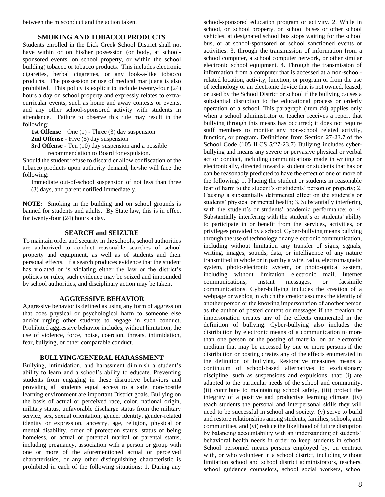between the misconduct and the action taken.

#### **SMOKING AND TOBACCO PRODUCTS**

Students enrolled in the Lick Creek School District shall not have within or on his/her possession (or body, at schoolsponsored events, on school property, or within the school building) tobacco or tobacco products. This includes electronic cigarettes, herbal cigarettes, or any look-a-like tobacco products. The possession or use of medical marijuana is also prohibited. This policy is explicit to include twenty-four (24) hours a day on school property and expressly relates to extracurricular events, such as home and away contests or events, and any other school-sponsored activity with students in attendance. Failure to observe this rule may result in the following:

**1st Offense** – One (1) - Three (3) day suspension

**2nd Offense** - Five (5) day suspension

**3rd Offense** - Ten (10) day suspension and a possible recommendation to Board for expulsion.

Should the student refuse to discard or allow confiscation of the tobacco products upon authority demand, he/she will face the following:

Immediate out-of-school suspension of not less than three (3) days, and parent notified immediately.

**NOTE:** Smoking in the building and on school grounds is banned for students and adults. By State law, this is in effect for twenty-four (24) hours a day.

#### **SEARCH and SEIZURE**

To maintain order and security in the schools, school authorities are authorized to conduct reasonable searches of school property and equipment, as well as of students and their personal effects. If a search produces evidence that the student has violated or is violating either the law or the district's policies or rules, such evidence may be seized and impounded by school authorities, and disciplinary action may be taken.

#### **AGGRESSIVE BEHAVIOR**

Aggressive behavior is defined as using any form of aggression that does physical or psychological harm to someone else and/or urging other students to engage in such conduct. Prohibited aggressive behavior includes, without limitation, the use of violence, force, noise, coercion, threats, intimidation, fear, bullying, or other comparable conduct.

#### **BULLYING/GENERAL HARASSMENT**

Bullying, intimidation, and harassment diminish a student's ability to learn and a school's ability to educate. Preventing students from engaging in these disruptive behaviors and providing all students equal access to a safe, non-hostile learning environment are important District goals. Bullying on the basis of actual or perceived race, color, national origin, military status, unfavorable discharge status from the military service, sex, sexual orientation, gender identity, gender-related identity or expression, ancestry, age, religion, physical or mental disability, order of protection status, status of being homeless, or actual or potential marital or parental status, including pregnancy, association with a person or group with one or more of the aforementioned actual or perceived characteristics, or any other distinguishing characteristic is prohibited in each of the following situations: 1. During any school-sponsored education program or activity. 2. While in school, on school property, on school buses or other school vehicles, at designated school bus stops waiting for the school bus, or at school-sponsored or school sanctioned events or activities. 3. through the transmission of information from a school computer, a school computer network, or other similar electronic school equipment. 4. Through the transmission of information from a computer that is accessed at a non-schoolrelated location, activity, function, or program or from the use of technology or an electronic device that is not owned, leased, or used by the School District or school if the bullying causes a substantial disruption to the educational process or orderly operation of a school. This paragraph (item #4) applies only when a school administrator or teacher receives a report that bullying through this means has occurred; it does not require staff members to monitor any non-school related activity, function, or program. Definitions from Section 27-23.7 of the School Code (105 ILCS 5/27-23.7) Bullying includes cyberbullying and means any severe or pervasive physical or verbal act or conduct, including communications made in writing or electronically, directed toward a student or students that has or can be reasonably predicted to have the effect of one or more of the following: 1. Placing the student or students in reasonable fear of harm to the student's or students' person or property; 2. Causing a substantially detrimental effect on the student's or students' physical or mental health; 3. Substantially interfering with the student's or students' academic performance; or 4. Substantially interfering with the student's or students' ability to participate in or benefit from the services, activities, or privileges provided by a school. Cyber-bullying means bullying through the use of technology or any electronic communication, including without limitation any transfer of signs, signals, writing, images, sounds, data, or intelligence of any nature transmitted in whole or in part by a wire, radio, electromagnetic system, photo-electronic system, or photo-optical system, including without limitation electronic mail, Internet communications, instant messages, or facsimile communications. Cyber-bullying includes the creation of a webpage or weblog in which the creator assumes the identity of another person or the knowing impersonation of another person as the author of posted content or messages if the creation or impersonation creates any of the effects enumerated in the definition of bullying. Cyber-bullying also includes the distribution by electronic means of a communication to more than one person or the posting of material on an electronic medium that may be accessed by one or more persons if the distribution or posting creates any of the effects enumerated in the definition of bullying. Restorative measures means a continuum of school-based alternatives to exclusionary discipline, such as suspensions and expulsions, that: (i) are adapted to the particular needs of the school and community, (ii) contribute to maintaining school safety, (iii) protect the integrity of a positive and productive learning climate, (iv) teach students the personal and interpersonal skills they will need to be successful in school and society, (v) serve to build and restore relationships among students, families, schools, and communities, and (vi) reduce the likelihood of future disruption by balancing accountability with an understanding of students' behavioral health needs in order to keep students in school. School personnel means persons employed by, on contract with, or who volunteer in a school district, including without limitation school and school district administrators, teachers, school guidance counselors, school social workers, school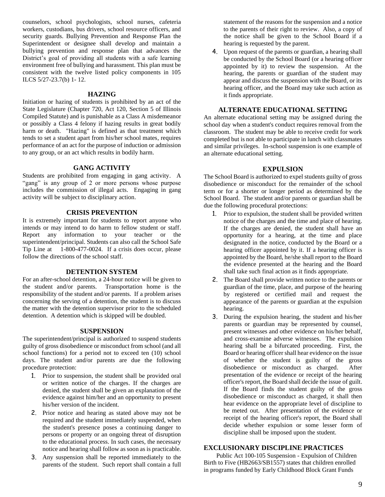counselors, school psychologists, school nurses, cafeteria workers, custodians, bus drivers, school resource officers, and security guards. Bullying Prevention and Response Plan the Superintendent or designee shall develop and maintain a bullying prevention and response plan that advances the District's goal of providing all students with a safe learning environment free of bullying and harassment. This plan must be consistent with the twelve listed policy components in 105 ILCS 5/27-23.7(b) 1- 12.

#### **HAZING**

Initiation or hazing of students is prohibited by an act of the State Legislature (Chapter 720, Act 120, Section 5 of Illinois Compiled Statute) and is punishable as a Class A misdemeanor or possibly a Class 4 felony if hazing results in great bodily harm or death. "Hazing" is defined as that treatment which tends to set a student apart from his/her school mates, requires performance of an act for the purpose of induction or admission to any group, or an act which results in bodily harm.

#### **GANG ACTIVITY**

Students are prohibited from engaging in gang activity. A "gang" is any group of 2 or more persons whose purpose includes the commission of illegal acts. Engaging in gang activity will be subject to disciplinary action.

#### **CRISIS PREVENTION**

It is extremely important for students to report anyone who intends or may intend to do harm to fellow student or staff. Report any information to your teacher or the superintendent/principal. Students can also call the School Safe Tip Line at 1-800-477-0024. If a crisis does occur, please follow the directions of the school staff.

#### **DETENTION SYSTEM**

For an after-school detention, a 24-hour notice will be given to the student and/or parents. Transportation home is the responsibility of the student and/or parents. If a problem arises concerning the serving of a detention, the student is to discuss the matter with the detention supervisor prior to the scheduled detention. A detention which is skipped will be doubled.

#### **SUSPENSION**

The superintendent/principal is authorized to suspend students guilty of gross disobedience or misconduct from school (and all school functions) for a period not to exceed ten (10) school days. The student and/or parents are due the following procedure protection:

- 1. Prior to suspension, the student shall be provided oral or written notice of the charges. If the charges are denied, the student shall be given an explanation of the evidence against him/her and an opportunity to present his/her version of the incident.
- 2. Prior notice and hearing as stated above may not be required and the student immediately suspended, when the student's presence poses a continuing danger to persons or property or an ongoing threat of disruption to the educational process. In such cases, the necessary notice and hearing shall follow as soon as is practicable.
- 3. Any suspension shall be reported immediately to the parents of the student. Such report shall contain a full

statement of the reasons for the suspension and a notice to the parents of their right to review. Also, a copy of the notice shall be given to the School Board if a hearing is requested by the parent.

4. Upon request of the parents or guardian, a hearing shall be conducted by the School Board (or a hearing officer appointed by it) to review the suspension. At the hearing, the parents or guardian of the student may appear and discuss the suspension with the Board, or its hearing officer, and the Board may take such action as it finds appropriate.

#### **ALTERNATE EDUCATIONAL SETTING**

An alternate educational setting may be assigned during the school day when a student's conduct requires removal from the classroom. The student may be able to receive credit for work completed but is not able to participate in lunch with classmates and similar privileges. In-school suspension is one example of an alternate educational setting.

#### **EXPULSION**

The School Board is authorized to expel students guilty of gross disobedience or misconduct for the remainder of the school term or for a shorter or longer period as determined by the School Board. The student and/or parents or guardian shall be due the following procedural protections:

- 1. Prior to expulsion, the student shall be provided written notice of the charges and the time and place of hearing. If the charges are denied, the student shall have an opportunity for a hearing, at the time and place designated in the notice, conducted by the Board or a hearing officer appointed by it. If a hearing officer is appointed by the Board, he/she shall report to the Board the evidence presented at the hearing and the Board shall take such final action as it finds appropriate.
- 2. The Board shall provide written notice to the parents or guardian of the time, place, and purpose of the hearing by registered or certified mail and request the appearance of the parents or guardian at the expulsion hearing.
- 3. During the expulsion hearing, the student and his/her parents or guardian may be represented by counsel, present witnesses and other evidence on his/her behalf, and cross-examine adverse witnesses. The expulsion hearing shall be a bifurcated proceeding. First, the Board or hearing officer shall hear evidence on the issue of whether the student is guilty of the gross disobedience or misconduct as charged. After presentation of the evidence or receipt of the hearing officer's report, the Board shall decide the issue of guilt. If the Board finds the student guilty of the gross disobedience or misconduct as charged, it shall then hear evidence on the appropriate level of discipline to be meted out. After presentation of the evidence or receipt of the hearing officer's report, the Board shall decide whether expulsion or some lesser form of discipline shall be imposed upon the student.

#### **EXCLUSIONARY DISCIPLINE PRACTICES**

 Public Act 100-105 Suspension - Expulsion of Children Birth to Five (HB2663/SB1557) states that children enrolled in programs funded by Early Childhood Block Grant Funds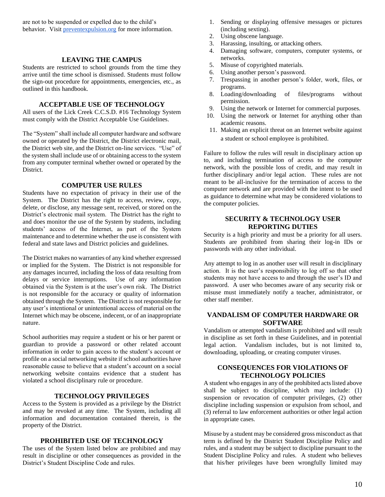are not to be suspended or expelled due to the child's behavior. Visit [preventexpulsion.org](http://preventexpulsion.org/) for more information.

#### **LEAVING THE CAMPUS**

Students are restricted to school grounds from the time they arrive until the time school is dismissed. Students must follow the sign-out procedure for appointments, emergencies, etc., as outlined in this handbook.

#### **ACCEPTABLE USE OF TECHNOLOGY**

All users of the Lick Creek C.C.S.D. #16 Technology System must comply with the District Acceptable Use Guidelines.

The "System" shall include all computer hardware and software owned or operated by the District, the District electronic mail, the District web site, and the District on-line services. "Use" of the system shall include use of or obtaining access to the system from any computer terminal whether owned or operated by the District.

#### **COMPUTER USE RULES**

Students have no expectation of privacy in their use of the System. The District has the right to access, review, copy, delete, or disclose, any message sent, received, or stored on the District's electronic mail system. The District has the right to and does monitor the use of the System by students, including students' access of the Internet, as part of the System maintenance and to determine whether the use is consistent with federal and state laws and District policies and guidelines.

The District makes no warranties of any kind whether expressed or implied for the System. The District is not responsible for any damages incurred, including the loss of data resulting from delays or service interruptions. Use of any information obtained via the System is at the user's own risk. The District is not responsible for the accuracy or quality of information obtained through the System. The District is not responsible for any user's intentional or unintentional access of material on the Internet which may be obscene, indecent, or of an inappropriate nature.

School authorities may require a student or his or her parent or guardian to provide a password or other related account information in order to gain access to the student's account or profile on a social networking website if school authorities have reasonable cause to believe that a student's account on a social networking website contains evidence that a student has violated a school disciplinary rule or procedure.

#### **TECHNOLOGY PRIVILEGES**

Access to the System is provided as a privilege by the District and may be revoked at any time. The System, including all information and documentation contained therein, is the property of the District.

#### **PROHIBITED USE OF TECHNOLOGY**

The uses of the System listed below are prohibited and may result in discipline or other consequences as provided in the District's Student Discipline Code and rules.

- 1. Sending or displaying offensive messages or pictures (including sexting).
- 2. Using obscene language.
- 3. Harassing, insulting, or attacking others.
- 4. Damaging software, computers, computer systems, or networks.
- 5. Misuse of copyrighted materials.
- 6. Using another person's password.
- 7. Trespassing in another person's folder, work, files, or programs.
- 8. Loading/downloading of files/programs without permission.
- 9. Using the network or Internet for commercial purposes.
- 10. Using the network or Internet for anything other than academic reasons.
- 11. Making an explicit threat on an Internet website against a student or school employee is prohibited.

Failure to follow the rules will result in disciplinary action up to, and including termination of access to the computer network, with the possible loss of credit, and may result in further disciplinary and/or legal action. These rules are not meant to be all-inclusive for the termination of access to the computer network and are provided with the intent to be used as guidance to determine what may be considered violations to the computer policies.

#### **SECURITY & TECHNOLOGY USER REPORTING DUTIES**

Security is a high priority and must be a priority for all users. Students are prohibited from sharing their log-in IDs or passwords with any other individual.

Any attempt to log in as another user will result in disciplinary action. It is the user's responsibility to log off so that other students may not have access to and through the user's ID and password. A user who becomes aware of any security risk or misuse must immediately notify a teacher, administrator, or other staff member.

### **VANDALISM OF COMPUTER HARDWARE OR SOFTWARE**

Vandalism or attempted vandalism is prohibited and will result in discipline as set forth in these Guidelines, and in potential legal action. Vandalism includes, but is not limited to, downloading, uploading, or creating computer viruses.

### **CONSEQUENCES FOR VIOLATIONS OF TECHNOLOGY POLICIES**

A student who engages in any of the prohibited acts listed above shall be subject to discipline, which may include: (1) suspension or revocation of computer privileges, (2) other discipline including suspension or expulsion from school, and (3) referral to law enforcement authorities or other legal action in appropriate cases.

Misuse by a student may be considered gross misconduct as that term is defined by the District Student Discipline Policy and rules, and a student may be subject to discipline pursuant to the Student Discipline Policy and rules. A student who believes that his/her privileges have been wrongfully limited may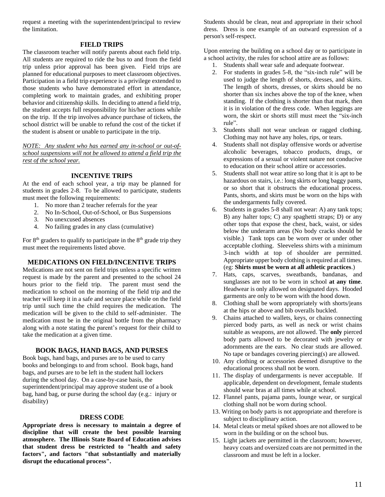request a meeting with the superintendent/principal to review the limitation.

#### **FIELD TRIPS**

The classroom teacher will notify parents about each field trip. All students are required to ride the bus to and from the field trip unless prior approval has been given. Field trips are planned for educational purposes to meet classroom objectives. Participation in a field trip experience is a privilege extended to those students who have demonstrated effort in attendance, completing work to maintain grades, and exhibiting proper behavior and citizenship skills. In deciding to attend a field trip, the student accepts full responsibility for his/her actions while on the trip. If the trip involves advance purchase of tickets, the school district will be unable to refund the cost of the ticket if the student is absent or unable to participate in the trip.

*NOTE: Any student who has earned any in-school or out-ofschool suspensions will not be allowed to attend a field trip the rest of the school year.*

### **INCENTIVE TRIPS**

At the end of each school year, a trip may be planned for students in grades 2-8. To be allowed to participate, students must meet the following requirements:

- 1. No more than 2 teacher referrals for the year
- 2. No In-School, Out-of-School, or Bus Suspensions
- 3. No unexcused absences
- 4. No failing grades in any class (cumulative)

For  $8<sup>th</sup>$  graders to qualify to participate in the  $8<sup>th</sup>$  grade trip they must meet the requirements listed above.

### **MEDICATIONS ON FIELD/INCENTIVE TRIPS**

Medications are not sent on field trips unless a specific written request is made by the parent and presented to the school 24 hours prior to the field trip. The parent must send the medication to school on the morning of the field trip and the teacher will keep it in a safe and secure place while on the field trip until such time the child requires the medication. The medication will be given to the child to self-administer. The medication must be in the original bottle from the pharmacy along with a note stating the parent's request for their child to take the medication at a given time.

### **BOOK BAGS, HAND BAGS, AND PURSES**

Book bags, hand bags, and purses are to be used to carry books and belongings to and from school. Book bags, hand bags, and purses are to be left in the student hall lockers during the school day. On a case-by-case basis, the superintendent/principal may approve student use of a book bag, hand bag, or purse during the school day (e.g.: injury or disability)

### **DRESS CODE**

**Appropriate dress is necessary to maintain a degree of discipline that will create the best possible learning atmosphere. The Illinois State Board of Education advises that student dress be restricted to "health and safety factors", and factors "that substantially and materially disrupt the educational process".**

Students should be clean, neat and appropriate in their school dress. Dress is one example of an outward expression of a person's self-respect.

Upon entering the building on a school day or to participate in a school activity, the rules for school attire are as follows:

- 1. Students shall wear safe and adequate footwear.
- 2. For students in grades 5-8, the "six-inch rule" will be used to judge the length of shorts, dresses, and skirts. The length of shorts, dresses, or skirts should be no shorter than six inches above the top of the knee, when standing. If the clothing is shorter than that mark, then it is in violation of the dress code. When leggings are worn, the skirt or shorts still must meet the "six-inch rule".
- 3. Students shall not wear unclean or ragged clothing. Clothing may not have any holes, rips, or tears.
- 4. Students shall not display offensive words or advertise alcoholic beverages, tobacco products, drugs, or expressions of a sexual or violent nature not conducive to education on their school attire or accessories.
- 5. Students shall not wear attire so long that it is apt to be hazardous on stairs, i.e.: long skirts or long baggy pants, or so short that it obstructs the educational process. Pants, shorts, and skirts must be worn on the hips with the undergarments fully covered.
- 6. Students in grades 5-8 shall not wear: A) any tank tops; B) any halter tops; C) any spaghetti straps; D) or any other tops that expose the chest, back, waist, or sides below the underarm areas (No body cracks should be visible.) Tank tops can be worn over or under other acceptable clothing. Sleeveless shirts with a minimum 3-inch width at top of shoulder are permitted. Appropriate upper body clothing is required at all times. (eg: **Shirts must be worn at all athletic practices**.)
- 7. Hats, caps, scarves, sweatbands, bandanas, and sunglasses are not to be worn in school **at any time**. Headwear is only allowed on designated days. Hooded garments are only to be worn with the hood down.
- 8. Clothing shall be worn appropriately with shorts/jeans at the hips or above and bib overalls buckled.
- 9. Chains attached to wallets, keys, or chains connecting pierced body parts, as well as neck or wrist chains suitable as weapons, are not allowed. The **only** pierced body parts allowed to be decorated with jewelry or adornments are the ears. No clear studs are allowed. No tape or bandages covering piercing(s) are allowed.
- 10. Any clothing or accessories deemed disruptive to the educational process shall not be worn.
- 11. The display of undergarments is never acceptable. If applicable, dependent on development, female students should wear bras at all times while at school.
- 12. Flannel pants, pajama pants, lounge wear, or surgical clothing shall not be worn during school.
- 13. Writing on body parts is not appropriate and therefore is subject to disciplinary action.
- 14. Metal cleats or metal spiked shoes are not allowed to be worn in the building or on the school bus.
- 15. Light jackets are permitted in the classroom; however, heavy coats and oversized coats are not permitted in the classroom and must be left in a locker.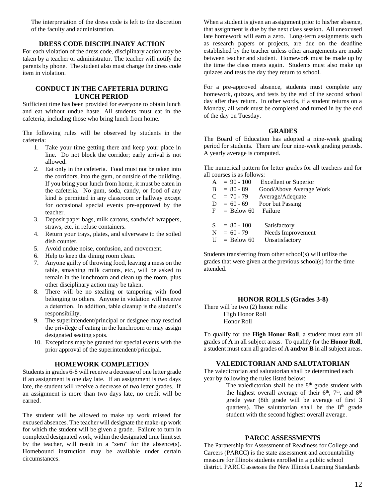The interpretation of the dress code is left to the discretion of the faculty and administration.

#### **DRESS CODE DISCIPLINARY ACTION**

For each violation of the dress code, disciplinary action may be taken by a teacher or administrator. The teacher will notify the parents by phone. The student also must change the dress code item in violation.

### **CONDUCT IN THE CAFETERIA DURING LUNCH PERIOD**

Sufficient time has been provided for everyone to obtain lunch and eat without undue haste. All students must eat in the cafeteria, including those who bring lunch from home.

The following rules will be observed by students in the cafeteria:

- 1. Take your time getting there and keep your place in line. Do not block the corridor; early arrival is not allowed.
- 2. Eat only in the cafeteria. Food must not be taken into the corridors, into the gym, or outside of the building. If you bring your lunch from home, it must be eaten in the cafeteria. No gum, soda, candy, or food of any kind is permitted in any classroom or hallway except for occasional special events pre-approved by the teacher.
- 3. Deposit paper bags, milk cartons, sandwich wrappers, straws, etc. in refuse containers.
- 4. Return your trays, plates, and silverware to the soiled dish counter.
- 5. Avoid undue noise, confusion, and movement.
- 6. Help to keep the dining room clean.
- 7. Anyone guilty of throwing food, leaving a mess on the table, smashing milk cartons, etc., will be asked to remain in the lunchroom and clean up the room, plus other disciplinary action may be taken.
- 8. There will be no stealing or tampering with food belonging to others. Anyone in violation will receive a detention. In addition, table cleanup is the student's responsibility.
- 9. The superintendent/principal or designee may rescind the privilege of eating in the lunchroom or may assign designated seating spots.
- 10. Exceptions may be granted for special events with the prior approval of the superintendent/principal.

### **HOMEWORK COMPLETION**

Students in grades 6-8 will receive a decrease of one letter grade if an assignment is one day late. If an assignment is two days late, the student will receive a decrease of two letter grades. If an assignment is more than two days late, no credit will be earned.

The student will be allowed to make up work missed for excused absences. The teacher will designate the make-up work for which the student will be given a grade. Failure to turn in completed designated work, within the designated time limit set by the teacher, will result in a "zero" for the absence(s). Homebound instruction may be available under certain circumstances.

When a student is given an assignment prior to his/her absence, that assignment is due by the next class session. All unexcused late homework will earn a zero. Long-term assignments such as research papers or projects, are due on the deadline established by the teacher unless other arrangements are made between teacher and student. Homework must be made up by the time the class meets again. Students must also make up quizzes and tests the day they return to school.

For a pre-approved absence, students must complete any homework, quizzes, and tests by the end of the second school day after they return. In other words, if a student returns on a Monday, all work must be completed and turned in by the end of the day on Tuesday.

#### **GRADES**

The Board of Education has adopted a nine-week grading period for students. There are four nine-week grading periods. A yearly average is computed.

The numerical pattern for letter grades for all teachers and for all courses is as follows:

| A  | $= 90 - 100$   | <b>Excellent or Superior</b> |
|----|----------------|------------------------------|
| B  | $= 80 - 89$    | Good/Above Average Work      |
| C  | $= 70 - 79$    | Average/Adequate             |
| D  | $= 60 - 69$    | Poor but Passing             |
|    | $F =$ Below 60 | Failure                      |
|    |                |                              |
| S. | $= 80 - 100$   | Satisfactory                 |
|    | $N = 60 - 79$  | Needs Improvement            |
| U  | $=$ Below 60   | Unsatisfactory               |

Students transferring from other school(s) will utilize the grades that were given at the previous school(s) for the time attended.

#### **HONOR ROLLS (Grades 3-8)**

There will be two (2) honor rolls: High Honor Roll Honor Roll

To qualify for the **High Honor Roll**, a student must earn all grades of **A** in all subject areas. To qualify for the **Honor Roll**, a student must earn all grades of **A and/or B** in all subject areas.

### **VALEDICTORIAN AND SALUTATORIAN**

The valedictorian and salutatorian shall be determined each year by following the rules listed below:

> The valedictorian shall be the  $8<sup>th</sup>$  grade student with the highest overall average of their  $6<sup>th</sup>$ ,  $7<sup>th</sup>$ , and  $8<sup>th</sup>$ grade year (8th grade will be average of first 3 quarters). The salutatorian shall be the  $8<sup>th</sup>$  grade student with the second highest overall average.

### **PARCC ASSESSMENTS**

The Partnership for Assessment of Readiness for College and Careers (PARCC) is the state assessment and accountability measure for Illinois students enrolled in a public school district. PARCC assesses the New Illinois Learning Standards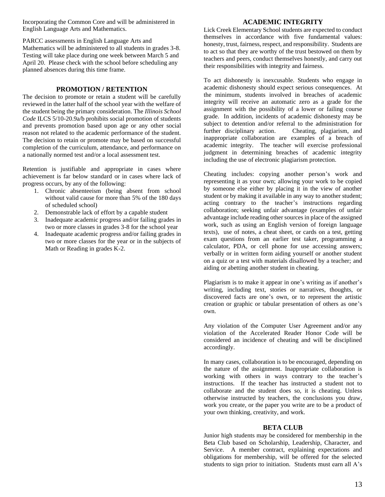Incorporating the Common Core and will be administered in English Language Arts and Mathematics.

PARCC assessments in English Language Arts and Mathematics will be administered to all students in grades 3-8. Testing will take place during one week between March 5 and April 20. Please check with the school before scheduling any planned absences during this time frame.

#### **PROMOTION / RETENTION**

The decision to promote or retain a student will be carefully reviewed in the latter half of the school year with the welfare of the student being the primary consideration. The *Illinois School Code* ILCS 5/10-20.9a/b prohibits social promotion of students and prevents promotion based upon age or any other social reason not related to the academic performance of the student. The decision to retain or promote may be based on successful completion of the curriculum, attendance, and performance on a nationally normed test and/or a local assessment test.

Retention is justifiable and appropriate in cases where achievement is far below standard or in cases where lack of progress occurs, by any of the following:

- 1. Chronic absenteeism (being absent from school without valid cause for more than 5% of the 180 days of scheduled school)
- 2. Demonstrable lack of effort by a capable student
- 3. Inadequate academic progress and/or failing grades in two or more classes in grades 3-8 for the school year
- 4. Inadequate academic progress and/or failing grades in two or more classes for the year or in the subjects of Math or Reading in grades K-2.

#### **ACADEMIC INTEGRITY**

Lick Creek Elementary School students are expected to conduct themselves in accordance with five fundamental values: honesty, trust, fairness, respect, and responsibility. Students are to act so that they are worthy of the trust bestowed on them by teachers and peers, conduct themselves honestly, and carry out their responsibilities with integrity and fairness.

To act dishonestly is inexcusable. Students who engage in academic dishonesty should expect serious consequences. At the minimum, students involved in breaches of academic integrity will receive an automatic zero as a grade for the assignment with the possibility of a lower or failing course grade. In addition, incidents of academic dishonesty may be subject to detention and/or referral to the administration for further disciplinary action. Cheating, plagiarism, and inappropriate collaboration are examples of a breach of academic integrity. The teacher will exercise professional judgment in determining breaches of academic integrity including the use of electronic plagiarism protection.

Cheating includes: copying another person's work and representing it as your own; allowing your work to be copied by someone else either by placing it in the view of another student or by making it available in any way to another student; acting contrary to the teacher's instructions regarding collaboration; seeking unfair advantage (examples of unfair advantage include reading other sources in place of the assigned work, such as using an English version of foreign language texts), use of notes, a cheat sheet, or cards on a test, getting exam questions from an earlier test taker, programming a calculator, PDA, or cell phone for use accessing answers; verbally or in written form aiding yourself or another student on a quiz or a test with materials disallowed by a teacher; and aiding or abetting another student in cheating.

Plagiarism is to make it appear in one's writing as if another's writing, including text, stories or narratives, thoughts, or discovered facts are one's own, or to represent the artistic creation or graphic or tabular presentation of others as one's own.

Any violation of the Computer User Agreement and/or any violation of the Accelerated Reader Honor Code will be considered an incidence of cheating and will be disciplined accordingly.

In many cases, collaboration is to be encouraged, depending on the nature of the assignment. Inappropriate collaboration is working with others in ways contrary to the teacher's instructions. If the teacher has instructed a student not to collaborate and the student does so, it is cheating. Unless otherwise instructed by teachers, the conclusions you draw, work you create, or the paper you write are to be a product of your own thinking, creativity, and work.

#### **BETA CLUB**

Junior high students may be considered for membership in the Beta Club based on Scholarship, Leadership, Character, and Service. A member contract, explaining expectations and obligations for membership, will be offered for the selected students to sign prior to initiation. Students must earn all A's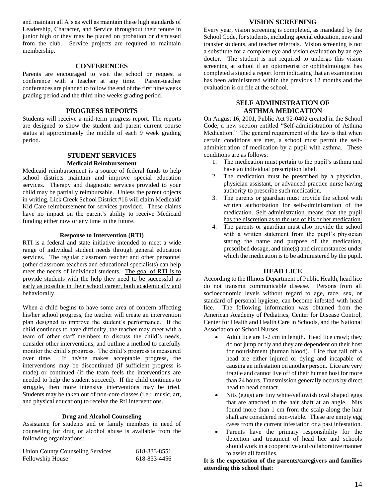and maintain all A's as well as maintain these high standards of Leadership, Character, and Service throughout their tenure in junior high or they may be placed on probation or dismissed from the club. Service projects are required to maintain membership.

#### **CONFERENCES**

Parents are encouraged to visit the school or request a conference with a teacher at any time. Parent-teacher conferences are planned to follow the end of the first nine weeks grading period and the third nine weeks grading period.

#### **PROGRESS REPORTS**

Students will receive a mid-term progress report. The reports are designed to show the student and parent current course status at approximately the middle of each 9 week grading period.

#### **STUDENT SERVICES Medicaid Reimbursement**

Medicaid reimbursement is a source of federal funds to help school districts maintain and improve special education services. Therapy and diagnostic services provided to your child may be partially reimbursable. Unless the parent objects in writing, Lick Creek School District #16 will claim Medicaid/ Kid Care reimbursement for services provided. These claims have no impact on the parent's ability to receive Medicaid funding either now or any time in the future.

#### **Response to Intervention (RTI)**

RTI is a federal and state initiative intended to meet a wide range of individual student needs through general education services. The regular classroom teacher and other personnel (other classroom teachers and educational specialists) can help meet the needs of individual students. The goal of RTI is to provide students with the help they need to be successful as early as possible in their school career, both academically and behaviorally.

When a child begins to have some area of concern affecting his/her school progress, the teacher will create an intervention plan designed to improve the student's performance. If the child continues to have difficulty, the teacher may meet with a team of other staff members to discuss the child's needs, consider other interventions, and outline a method to carefully monitor the child's progress. The child's progress is measured over time. If he/she makes acceptable progress, the interventions may be discontinued (if sufficient progress is made) or continued (if the team feels the interventions are needed to help the student succeed). If the child continues to struggle, then more intensive interventions may be tried. Students may be taken out of non-core classes (i.e.: music, art, and physical education) to receive the RtI interventions.

#### **Drug and Alcohol Counseling**

Assistance for students and or family members in need of counseling for drug or alcohol abuse is available from the following organizations:

| <b>Union County Counseling Services</b> | 618-833-8551 |
|-----------------------------------------|--------------|
| Fellowship House                        | 618-833-4456 |

### **VISION SCREENING**

Every year, vision screening is completed, as mandated by the School Code, for students, including special education, new and transfer students, and teacher referrals. Vision screening is not a substitute for a complete eye and vision evaluation by an eye doctor. The student is not required to undergo this vision screening at school if an optometrist or ophthalmologist has completed a signed a report form indicating that an examination has been administered within the previous 12 months and the evaluation is on file at the school.

### **SELF ADMINISTRATION OF ASTHMA MEDICATION**

On August 16, 2001, Public Act 92-0402 created in the School Code, a new section entitled "Self-administration of Asthma Medication." The general requirement of the law is that when certain conditions are met, a school must permit the selfadministration of medication by a pupil with asthma. These conditions are as follows:

- 1. The medication must pertain to the pupil's asthma and have an individual prescription label.
- 2. The medication must be prescribed by a physician, physician assistant, or advanced practice nurse having authority to prescribe such medication.
- 3. The parents or guardian must provide the school with written authorization for self-administration of the medication. Self-administration means that the pupil has the discretion as to the use of his or her medication.
- 4. The parents or guardian must also provide the school with a written statement from the pupil's physician stating the name and purpose of the medication, prescribed dosage, and time(s) and circumstances under which the medication is to be administered by the pupil.

### **HEAD LICE**

According to the Illinois Department of Public Health, head lice do not transmit communicable disease. Persons from all socioeconomic levels without regard to age, race, sex, or standard of personal hygiene, can become infested with head lice. The following information was obtained from the American Academy of Pediatrics, Center for Disease Control, Center for Health and Health Care in Schools, and the National Association of School Nurses.

- Adult lice are 1-2 cm in length. Head lice crawl; they do not jump or fly and they are dependent on their host for nourishment (human blood). Lice that fall off a head are either injured or dying and incapable of causing an infestation on another person. Lice are very fragile and cannot live off of their human host for more than 24 hours. Transmission generally occurs by direct head to head contact.
- Nits (eggs) are tiny white/yellowish oval shaped eggs that are attached to the hair shaft at an angle. Nits found more than 1 cm from the scalp along the hair shaft are considered non-viable. These are empty egg cases from the current infestation or a past infestation.
- Parents have the primary responsibility for the detection and treatment of head lice and schools should work in a cooperative and collaborative manner to assist all families.

**It is the expectation of the parents/caregivers and families attending this school that:**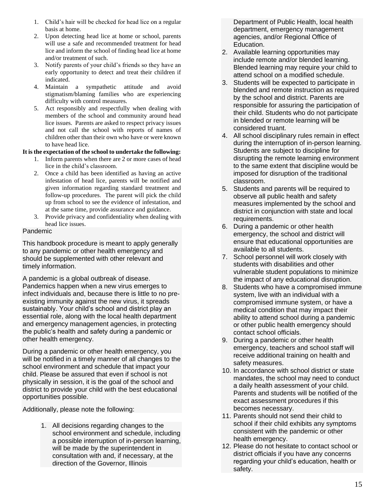- 1. Child's hair will be checked for head lice on a regular basis at home.
- 2. Upon detecting head lice at home or school, parents will use a safe and recommended treatment for head lice and inform the school of finding head lice at home and/or treatment of such.
- 3. Notify parents of your child's friends so they have an early opportunity to detect and treat their children if indicated.
- 4. Maintain a sympathetic attitude and avoid stigmatism/blaming families who are experiencing difficulty with control measures.
- 5. Act responsibly and respectfully when dealing with members of the school and community around head lice issues. Parents are asked to respect privacy issues and not call the school with reports of names of children other than their own who have or were known to have head lice.

### **It is the expectation of the school to undertake the following:**

- 1. Inform parents when there are 2 or more cases of head lice in the child's classroom.
- 2. Once a child has been identified as having an active infestation of head lice, parents will be notified and given information regarding standard treatment and follow-up procedures. The parent will pick the child up from school to see the evidence of infestation, and at the same time, provide assurance and guidance.
- 3. Provide privacy and confidentiality when dealing with head lice issues.

### Pandemic

This handbook procedure is meant to apply generally to any pandemic or other health emergency and should be supplemented with other relevant and timely information.

A pandemic is a global outbreak of disease. Pandemics happen when a new virus emerges to infect individuals and, because there is little to no preexisting immunity against the new virus, it spreads sustainably. Your child's school and district play an essential role, along with the local health department and emergency management agencies, in protecting the public's health and safety during a pandemic or other health emergency.

During a pandemic or other health emergency, you will be notified in a timely manner of all changes to the school environment and schedule that impact your child. Please be assured that even if school is not physically in session, it is the goal of the school and district to provide your child with the best educational opportunities possible.

Additionally, please note the following:

1. All decisions regarding changes to the school environment and schedule, including a possible interruption of in-person learning, will be made by the superintendent in consultation with and, if necessary, at the direction of the Governor, Illinois

Department of Public Health, local health department, emergency management agencies, and/or Regional Office of Education.

- 2. Available learning opportunities may include remote and/or blended learning. Blended learning may require your child to attend school on a modified schedule.
- 3. Students will be expected to participate in blended and remote instruction as required by the school and district. Parents are responsible for assuring the participation of their child. Students who do not participate in blended or remote learning will be considered truant.
- 4. All school disciplinary rules remain in effect during the interruption of in-person learning. Students are subject to discipline for disrupting the remote learning environment to the same extent that discipline would be imposed for disruption of the traditional classroom.
- 5. Students and parents will be required to observe all public health and safety measures implemented by the school and district in conjunction with state and local requirements.
- 6. During a pandemic or other health emergency, the school and district will ensure that educational opportunities are available to all students.
- 7. School personnel will work closely with students with disabilities and other vulnerable student populations to minimize the impact of any educational disruption.
- 8. Students who have a compromised immune system, live with an individual with a compromised immune system, or have a medical condition that may impact their ability to attend school during a pandemic or other public health emergency should contact school officials.
- 9. During a pandemic or other health emergency, teachers and school staff will receive additional training on health and safety measures.
- 10. In accordance with school district or state mandates, the school may need to conduct a daily health assessment of your child. Parents and students will be notified of the exact assessment procedures if this becomes necessary.
- 11. Parents should not send their child to school if their child exhibits any symptoms consistent with the pandemic or other health emergency.
- 12. Please do not hesitate to contact school or district officials if you have any concerns regarding your child's education, health or safety.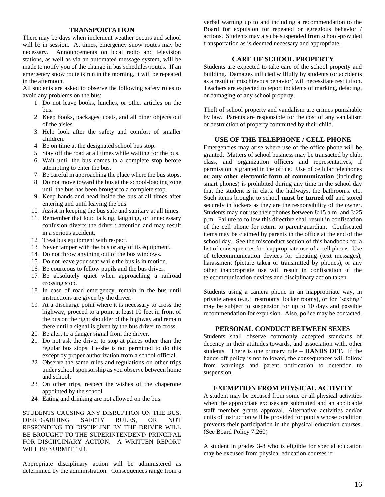#### **TRANSPORTATION**

There may be days when inclement weather occurs and school will be in session. At times, emergency snow routes may be necessary. Announcements on local radio and television stations, as well as via an automated message system*,* will be made to notify you of the change in bus schedules/routes. If an emergency snow route is run in the morning, it will be repeated in the afternoon.

All students are asked to observe the following safety rules to avoid any problems on the bus:

- 1. Do not leave books, lunches, or other articles on the bus.
- 2. Keep books, packages, coats, and all other objects out of the aisles.
- 3. Help look after the safety and comfort of smaller children.
- 4. Be on time at the designated school bus stop.
- 5. Stay off the road at all times while waiting for the bus. 6. Wait until the bus comes to a complete stop before
- attempting to enter the bus.
- 7. Be careful in approaching the place where the bus stops.
- 8. Do not move toward the bus at the school-loading zone until the bus has been brought to a complete stop.
- 9. Keep hands and head inside the bus at all times after entering and until leaving the bus.
- 10. Assist in keeping the bus safe and sanitary at all times.
- 11. Remember that loud talking, laughing, or unnecessary confusion diverts the driver's attention and may result in a serious accident.
- 12. Treat bus equipment with respect.
- 13. Never tamper with the bus or any of its equipment.
- 14. Do not throw anything out of the bus windows.
- 15. Do not leave your seat while the bus is in motion.
- 16. Be courteous to fellow pupils and the bus driver.
- 17. Be absolutely quiet when approaching a railroad crossing stop.
- 18. In case of road emergency, remain in the bus until instructions are given by the driver.
- 19. At a discharge point where it is necessary to cross the highway, proceed to a point at least 10 feet in front of the bus on the right shoulder of the highway and remain there until a signal is given by the bus driver to cross.
- 20. Be alert to a danger signal from the driver.
- 21. Do not ask the driver to stop at places other than the regular bus stops. He/she is not permitted to do this except by proper authorization from a school official.
- 22. Observe the same rules and regulations on other trips under school sponsorship as you observe between home and school.
- 23. On other trips, respect the wishes of the chaperone appointed by the school.
- 24. Eating and drinking are not allowed on the bus.

STUDENTS CAUSING ANY DISRUPTION ON THE BUS, DISREGARDING SAFETY RULES, OR NOT RESPONDING TO DISCIPLINE BY THE DRIVER WILL BE BROUGHT TO THE SUPERINTENDENT/ PRINCIPAL FOR DISCIPLINARY ACTION. A WRITTEN REPORT WILL BE SUBMITTED.

Appropriate disciplinary action will be administered as determined by the administration. Consequences range from a verbal warning up to and including a recommendation to the Board for expulsion for repeated or egregious behavior / actions. Students may also be suspended from school-provided transportation as is deemed necessary and appropriate.

### **CARE OF SCHOOL PROPERTY**

Students are expected to take care of the school property and building. Damages inflicted willfully by students (or accidents as a result of mischievous behavior) will necessitate restitution. Teachers are expected to report incidents of marking, defacing, or damaging of any school property.

Theft of school property and vandalism are crimes punishable by law. Parents are responsible for the cost of any vandalism or destruction of property committed by their child.

#### **USE OF THE TELEPHONE / CELL PHONE**

Emergencies may arise where use of the office phone will be granted. Matters of school business may be transacted by club, class, and organization officers and representatives, if permission is granted in the office. Use of cellular telephones **or any other electronic form of communication** (including smart phones) is prohibited during any time in the school day that the student is in class, the hallways, the bathrooms, etc. Such items brought to school **must be turned off** and stored securely in lockers as they are the responsibility of the owner. Students may not use their phones between 8:15 a.m. and 3:25 p.m. Failure to follow this directive shall result in confiscation of the cell phone for return to parent/guardian. Confiscated items may be claimed by parents in the office at the end of the school day. See the misconduct section of this handbook for a list of consequences for inappropriate use of a cell phone. Use of telecommunication devices for cheating (text messages), harassment (picture taken or transmitted by phones), or any other inappropriate use will result in confiscation of the telecommunication devices and disciplinary action taken.

Students using a camera phone in an inappropriate way, in private areas (e.g.: restrooms, locker rooms), or for "sexting" may be subject to suspension for up to 10 days and possible recommendation for expulsion. Also, police may be contacted.

### **PERSONAL CONDUCT BETWEEN SEXES**

Students shall observe commonly accepted standards of decency in their attitudes towards, and association with, other students. There is one primary rule – **HANDS OFF.** If the hands-off policy is not followed, the consequences will follow from warnings and parent notification to detention to suspension.

#### **EXEMPTION FROM PHYSICAL ACTIVITY**

A student may be excused from some or all physical activities when the appropriate excuses are submitted and an applicable staff member grants approval. Alternative activities and/or units of instruction will be provided for pupils whose condition prevents their participation in the physical education courses. (See Board Policy 7:260)

A student in grades 3-8 who is eligible for special education may be excused from physical education courses if: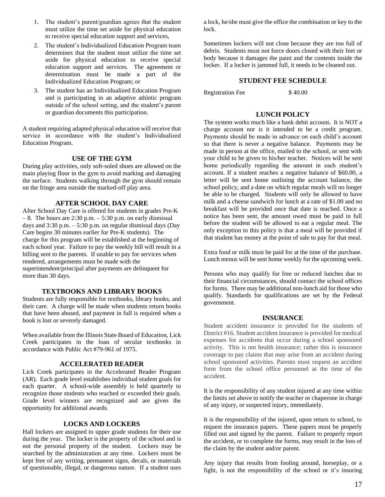- 1. The student's parent/guardian agrees that the student must utilize the time set aside for physical education to receive special education support and services,
- 2. The student's Individualized Education Program team determines that the student must utilize the time set aside for physical education to receive special education support and services. The agreement or determination must be made a part of the Individualized Education Program; or
- 3. The student has an Individualized Education Program and is participating in an adaptive athletic program outside of the school setting, and the student's parent or guardian documents this participation.

A student requiring adapted physical education will receive that service in accordance with the student's Individualized Education Program.

### **USE OF THE GYM**

During play activities, only soft-soled shoes are allowed on the main playing floor in the gym to avoid marking and damaging the surface. Students walking through the gym should remain on the fringe area outside the marked-off play area.

### **AFTER SCHOOL DAY CARE**

After School Day Care is offered for students in grades Pre-K  $-8$ . The hours are 2:30 p.m.  $-5:30$  p.m. on early dismissal days and  $3:30$  p.m.  $-5:30$  p.m. on regular dismissal days (Day Care begins 30 minutes earlier for Pre-K students). The charge for this program will be established at the beginning of each school year. Failure to pay the weekly bill will result in a billing sent to the parents. If unable to pay for services when rendered, arrangements must be made with the superintendent/principal after payments are delinquent for more than 30 days.

### **TEXTBOOKS AND LIBRARY BOOKS**

Students are fully responsible for textbooks, library books, and their care. A charge will be made when students return books that have been abused, and payment in full is required when a book is lost or severely damaged.

When available from the Illinois State Board of Education, Lick Creek participates in the loan of secular textbooks in accordance with Public Act #79-961 of 1975.

### **ACCELERATED READER**

Lick Creek participates in the Accelerated Reader Program (AR). Each grade level establishes individual student goals for each quarter. A school-wide assembly is held quarterly to recognize those students who reached or exceeded their goals. Grade level winners are recognized and are given the opportunity for additional awards.

### **LOCKS AND LOCKERS**

Hall lockers are assigned to upper grade students for their use during the year. The locker is the property of the school and is not the personal property of the student. Lockers may be searched by the administration at any time. Lockers must be kept free of any writing, permanent signs, decals, or materials of questionable, illegal, or dangerous nature. If a student uses

a lock, he/she must give the office the combination or key to the lock.

Sometimes lockers will not close because they are too full of debris. Students must not force doors closed with their feet or body because it damages the paint and the contents inside the locker. If a locker is jammed full, it needs to be cleaned out.

### **STUDENT FEE SCHEDULE**

Registration Fee \$40.00

### **LUNCH POLICY**

The system works much like a bank debit account**.** It is NOT a charge account nor is it intended to be a credit program. Payments should be made in advance on each child's account so that there is never a negative balance. Payments may be made in person at the office, mailed to the school, or sent with your child to be given to his/her teacher. Notices will be sent home periodically regarding the amount in each student's account. If a student reaches a negative balance of \$60.00, a letter will be sent home outlining the account balance, the school policy, and a date on which regular meals will no longer be able to be charged. Students will only be allowed to have milk and a cheese sandwich for lunch at a rate of \$1.00 and no breakfast will be provided once that date is reached. Once a notice has been sent, the amount owed must be paid in full before the student will be allowed to eat a regular meal. The only exception to this policy is that a meal will be provided if that student has money at the point of sale to pay for that meal.

Extra food or milk must be paid for at the time of the purchase. Lunch menus will be sent home weekly for the upcoming week.

Persons who may qualify for free or reduced lunches due to their financial circumstances, should contact the school offices for forms. There may be additional non-lunch aid for those who qualify. Standards for qualifications are set by the Federal government.

#### **INSURANCE**

Student accident insurance is provided for the students of District #16. Student accident insurance is provided for medical expenses for accidents that occur during a school sponsored activity. This is not health insurance; rather this is insurance coverage to pay claims that may arise from an accident during school sponsored activities. Parents must request an accident form from the school office personnel at the time of the accident.

It is the responsibility of any student injured at any time within the limits set above to notify the teacher or chaperone in charge of any injury, or suspected injury, immediately.

It is the responsibility of the injured, upon return to school, to request the insurance papers. These papers must be properly filled out and signed by the parent. Failure to properly report the accident, or to complete the forms, may result in the loss of the claim by the student and/or parent.

Any injury that results from fooling around, horseplay, or a fight, is not the responsibility of the school or it's insuring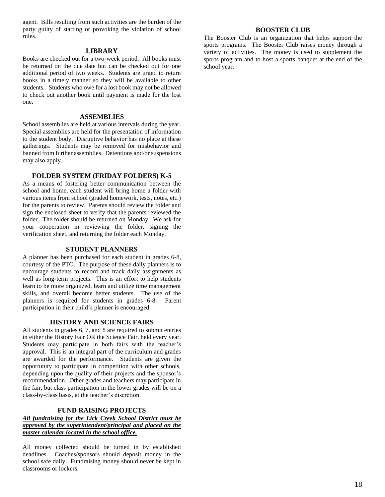agent. Bills resulting from such activities are the burden of the party guilty of starting or provoking the violation of school rules.

#### **LIBRARY**

Books are checked out for a two-week period. All books must be returned on the due date but can be checked out for one additional period of two weeks. Students are urged to return books in a timely manner so they will be available to other students. Students who owe for a lost book may not be allowed to check out another book until payment is made for the lost one.

#### **ASSEMBLIES**

School assemblies are held at various intervals during the year. Special assemblies are held for the presentation of information to the student body. Disruptive behavior has no place at these gatherings. Students may be removed for misbehavior and banned from further assemblies. Detentions and/or suspensions may also apply.

### **FOLDER SYSTEM (FRIDAY FOLDERS) K-5**

As a means of fostering better communication between the school and home, each student will bring home a folder with various items from school (graded homework, tests, notes, etc.) for the parents to review. Parents should review the folder and sign the enclosed sheet to verify that the parents reviewed the folder. The folder should be returned on Monday. We ask for your cooperation in reviewing the folder, signing the verification sheet, and returning the folder each Monday.

#### **STUDENT PLANNERS**

A planner has been purchased for each student in grades 6-8, courtesy of the PTO. The purpose of these daily planners is to encourage students to record and track daily assignments as well as long-term projects. This is an effort to help students learn to be more organized, learn and utilize time management skills, and overall become better students. The use of the planners is required for students in grades 6-8. Parent participation in their child's planner is encouraged.

### **HISTORY AND SCIENCE FAIRS**

All students in grades 6, 7, and 8 are required to submit entries in either the History Fair OR the Science Fair, held every year. Students may participate in both fairs with the teacher's approval. This is an integral part of the curriculum and grades are awarded for the performance. Students are given the opportunity to participate in competition with other schools, depending upon the quality of their projects and the sponsor's recommendation. Other grades and teachers may participate in the fair, but class participation in the lower grades will be on a class-by-class basis, at the teacher's discretion.

### **FUND RAISING PROJECTS**

#### *All fundraising for the Lick Creek School District must be approved by the superintendent/principal and placed on the master calendar located in the school office.*

All money collected should be turned in by established deadlines. Coaches/sponsors should deposit money in the school safe daily. Fundraising money should never be kept in classrooms or lockers.

### **BOOSTER CLUB**

The Booster Club is an organization that helps support the sports programs. The Booster Club raises money through a variety of activities. The money is used to supplement the sports program and to host a sports banquet at the end of the school year.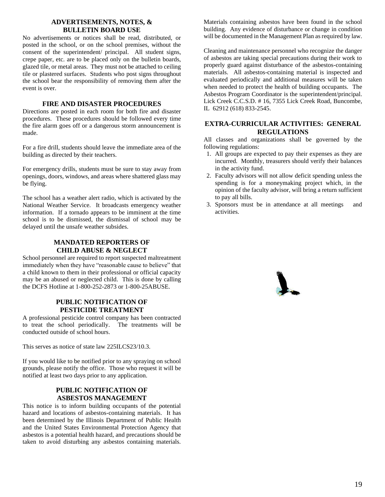### **ADVERTISEMENTS, NOTES, & BULLETIN BOARD USE**

No advertisements or notices shall be read, distributed, or posted in the school, or on the school premises, without the consent of the superintendent/ principal. All student signs, crepe paper, etc. are to be placed only on the bulletin boards, glazed tile, or metal areas. They must not be attached to ceiling tile or plastered surfaces. Students who post signs throughout the school bear the responsibility of removing them after the event is over.

### **FIRE AND DISASTER PROCEDURES**

Directions are posted in each room for both fire and disaster procedures. These procedures should be followed every time the fire alarm goes off or a dangerous storm announcement is made.

For a fire drill, students should leave the immediate area of the building as directed by their teachers.

For emergency drills, students must be sure to stay away from openings, doors, windows, and areas where shattered glass may be flying.

The school has a weather alert radio, which is activated by the National Weather Service. It broadcasts emergency weather information. If a tornado appears to be imminent at the time school is to be dismissed, the dismissal of school may be delayed until the unsafe weather subsides.

### **MANDATED REPORTERS OF CHILD ABUSE & NEGLECT**

School personnel are required to report suspected maltreatment immediately when they have "reasonable cause to believe" that a child known to them in their professional or official capacity may be an abused or neglected child. This is done by calling the DCFS Hotline at 1-800-252-2873 or 1-800-25ABUSE.

### **PUBLIC NOTIFICATION OF PESTICIDE TREATMENT**

A professional pesticide control company has been contracted to treat the school periodically. The treatments will be conducted outside of school hours.

This serves as notice of state law 225ILCS23/10.3.

If you would like to be notified prior to any spraying on school grounds, please notify the office. Those who request it will be notified at least two days prior to any application.

### **PUBLIC NOTIFICATION OF ASBESTOS MANAGEMENT**

This notice is to inform building occupants of the potential hazard and locations of asbestos-containing materials. It has been determined by the Illinois Department of Public Health and the United States Environmental Protection Agency that asbestos is a potential health hazard, and precautions should be taken to avoid disturbing any asbestos containing materials.

Materials containing asbestos have been found in the school building. Any evidence of disturbance or change in condition will be documented in the Management Plan as required by law.

Cleaning and maintenance personnel who recognize the danger of asbestos are taking special precautions during their work to properly guard against disturbance of the asbestos-containing materials. All asbestos-containing material is inspected and evaluated periodically and additional measures will be taken when needed to protect the health of building occupants. The Asbestos Program Coordinator is the superintendent/principal. Lick Creek C.C.S.D. # 16, 7355 Lick Creek Road, Buncombe, IL 62912 (618) 833-2545.

### **EXTRA-CURRICULAR ACTIVITIES: GENERAL REGULATIONS**

All classes and organizations shall be governed by the following regulations:

- 1. All groups are expected to pay their expenses as they are incurred. Monthly, treasurers should verify their balances in the activity fund.
- 2. Faculty advisors will not allow deficit spending unless the spending is for a moneymaking project which, in the opinion of the faculty advisor, will bring a return sufficient to pay all bills.
- 3. Sponsors must be in attendance at all meetings and activities.

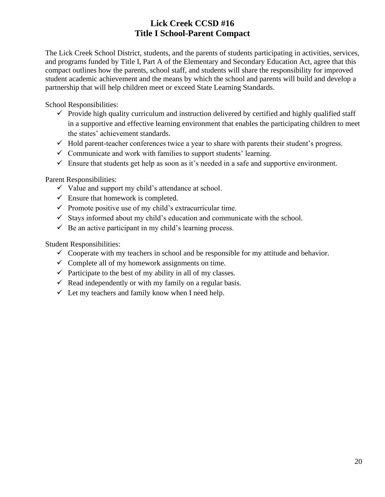# **Lick Creek CCSD #16 Title I School-Parent Compact**

The Lick Creek School District, students, and the parents of students participating in activities, services, and programs funded by Title I, Part A of the Elementary and Secondary Education Act, agree that this compact outlines how the parents, school staff, and students will share the responsibility for improved student academic achievement and the means by which the school and parents will build and develop a partnership that will help children meet or exceed State Learning Standards.

School Responsibilities:

- $\checkmark$  Provide high quality curriculum and instruction delivered by certified and highly qualified staff in a supportive and effective learning environment that enables the participating children to meet the states' achievement standards.
- $\checkmark$  Hold parent-teacher conferences twice a year to share with parents their student's progress.
- $\checkmark$  Communicate and work with families to support students' learning.
- $\checkmark$  Ensure that students get help as soon as it's needed in a safe and supportive environment.

Parent Responsibilities:

- $\checkmark$  Value and support my child's attendance at school.
- $\checkmark$  Ensure that homework is completed.
- $\checkmark$  Promote positive use of my child's extracurricular time.
- $\checkmark$  Stays informed about my child's education and communicate with the school.
- $\checkmark$  Be an active participant in my child's learning process.

Student Responsibilities:

- $\checkmark$  Cooperate with my teachers in school and be responsible for my attitude and behavior.
- $\checkmark$  Complete all of my homework assignments on time.
- $\checkmark$  Participate to the best of my ability in all of my classes.
- $\checkmark$  Read independently or with my family on a regular basis.
- $\checkmark$  Let my teachers and family know when I need help.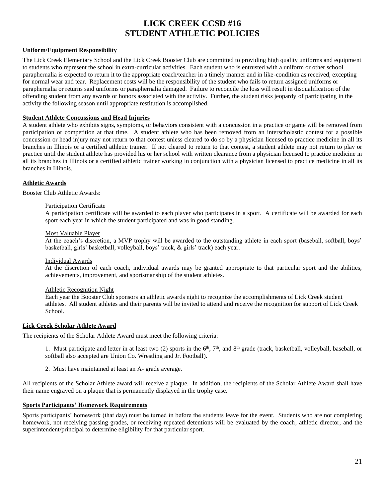# **LICK CREEK CCSD #16 STUDENT ATHLETIC POLICIES**

### **Uniform/Equipment Responsibility**

The Lick Creek Elementary School and the Lick Creek Booster Club are committed to providing high quality uniforms and equipment to students who represent the school in extra-curricular activities. Each student who is entrusted with a uniform or other school paraphernalia is expected to return it to the appropriate coach/teacher in a timely manner and in like-condition as received, excepting for normal wear and tear. Replacement costs will be the responsibility of the student who fails to return assigned uniforms or paraphernalia or returns said uniforms or paraphernalia damaged. Failure to reconcile the loss will result in disqualification of the offending student from any awards or honors associated with the activity. Further, the student risks jeopardy of participating in the activity the following season until appropriate restitution is accomplished.

#### **Student Athlete Concussions and Head Injuries**

A student athlete who exhibits signs, symptoms, or behaviors consistent with a concussion in a practice or game will be removed from participation or competition at that time. A student athlete who has been removed from an interscholastic contest for a possible concussion or head injury may not return to that contest unless cleared to do so by a physician licensed to practice medicine in all its branches in Illinois or a certified athletic trainer. If not cleared to return to that contest, a student athlete may not return to play or practice until the student athlete has provided his or her school with written clearance from a physician licensed to practice medicine in all its branches in Illinois or a certified athletic trainer working in conjunction with a physician licensed to practice medicine in all its branches in Illinois.

### **Athletic Awards**

Booster Club Athletic Awards:

#### Participation Certificate

A participation certificate will be awarded to each player who participates in a sport. A certificate will be awarded for each sport each year in which the student participated and was in good standing.

#### Most Valuable Player

At the coach's discretion, a MVP trophy will be awarded to the outstanding athlete in each sport (baseball, softball, boys' basketball, girls' basketball, volleyball, boys' track, & girls' track) each year.

#### Individual Awards

At the discretion of each coach, individual awards may be granted appropriate to that particular sport and the abilities, achievements, improvement, and sportsmanship of the student athletes.

#### Athletic Recognition Night

Each year the Booster Club sponsors an athletic awards night to recognize the accomplishments of Lick Creek student athletes. All student athletes and their parents will be invited to attend and receive the recognition for support of Lick Creek School.

### **Lick Creek Scholar Athlete Award**

The recipients of the Scholar Athlete Award must meet the following criteria:

1. Must participate and letter in at least two (2) sports in the  $6<sup>th</sup>$ ,  $7<sup>th</sup>$ , and  $8<sup>th</sup>$  grade (track, basketball, volleyball, baseball, or softball also accepted are Union Co. Wrestling and Jr. Football).

2. Must have maintained at least an A- grade average.

All recipients of the Scholar Athlete award will receive a plaque. In addition, the recipients of the Scholar Athlete Award shall have their name engraved on a plaque that is permanently displayed in the trophy case.

### **Sports Participants' Homework Requirements**

Sports participants' homework (that day) must be turned in before the students leave for the event. Students who are not completing homework, not receiving passing grades, or receiving repeated detentions will be evaluated by the coach, athletic director, and the superintendent/principal to determine eligibility for that particular sport.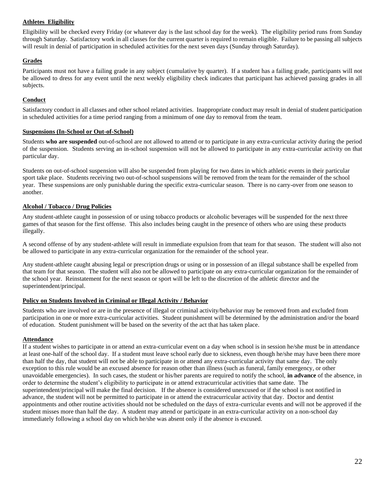### **Athletes Eligibility**

Eligibility will be checked every Friday (or whatever day is the last school day for the week). The eligibility period runs from Sunday through Saturday. Satisfactory work in all classes for the current quarter is required to remain eligible. Failure to be passing all subjects will result in denial of participation in scheduled activities for the next seven days (Sunday through Saturday).

### **Grades**

Participants must not have a failing grade in any subject (cumulative by quarter). If a student has a failing grade, participants will not be allowed to dress for any event until the next weekly eligibility check indicates that participant has achieved passing grades in all subjects.

### **Conduct**

Satisfactory conduct in all classes and other school related activities. Inappropriate conduct may result in denial of student participation in scheduled activities for a time period ranging from a minimum of one day to removal from the team.

### **Suspensions (In-School or Out-of-School)**

Students **who are suspended** out**-**of**-**school are not allowed to attend or to participate in any extra-curricular activity during the period of the suspension. Students serving an in-school suspension will not be allowed to participate in any extra-curricular activity on that particular day.

Students on out-of-school suspension will also be suspended from playing for two dates in which athletic events in their particular sport take place. Students receiving two out-of-school suspensions will be removed from the team for the remainder of the school year. These suspensions are only punishable during the specific extra-curricular season. There is no carry-over from one season to another.

### **Alcohol / Tobacco / Drug Policies**

Any student-athlete caught in possession of or using tobacco products or alcoholic beverages will be suspended for the next three games of that season for the first offense. This also includes being caught in the presence of others who are using these products illegally.

A second offense of by any student-athlete will result in immediate expulsion from that team for that season. The student will also not be allowed to participate in any extra-curricular organization for the remainder of the school year.

Any student-athlete caught abusing legal or prescription drugs or using or in possession of an illegal substance shall be expelled from that team for that season. The student will also not be allowed to participate on any extra-curricular organization for the remainder of the school year. Reinstatement for the next season or sport will be left to the discretion of the athletic director and the superintendent/principal.

### **Policy on Students Involved in Criminal or Illegal Activity / Behavior**

Students who are involved or are in the presence of illegal or criminal activity/behavior may be removed from and excluded from participation in one or more extra-curricular activities. Student punishment will be determined by the administration and/or the board of education. Student punishment will be based on the severity of the act that has taken place.

### **Attendance**

If a student wishes to participate in or attend an extra-curricular event on a day when school is in session he/she must be in attendance at least one-half of the school day. If a student must leave school early due to sickness, even though he/she may have been there more than half the day, that student will not be able to participate in or attend any extra-curricular activity that same day. The only exception to this rule would be an excused absence for reason other than illness (such as funeral, family emergency, or other unavoidable emergencies). In such cases, the student or his/her parents are required to notify the school, **in advance** of the absence, in order to determine the student's eligibility to participate in or attend extracurricular activities that same date. The superintendent/principal will make the final decision. If the absence is considered unexcused or if the school is not notified in advance, the student will not be permitted to participate in or attend the extracurricular activity that day. Doctor and dentist appointments and other routine activities should not be scheduled on the days of extra-curricular events and will not be approved if the student misses more than half the day. A student may attend or participate in an extra-curricular activity on a non-school day immediately following a school day on which he/she was absent only if the absence is excused.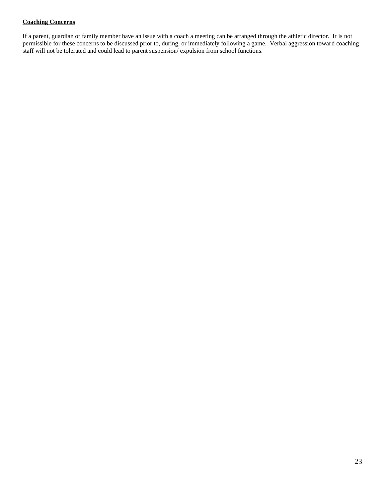### **Coaching Concerns**

If a parent, guardian or family member have an issue with a coach a meeting can be arranged through the athletic director. It is not permissible for these concerns to be discussed prior to, during, or immediately following a game. Verbal aggression toward coaching staff will not be tolerated and could lead to parent suspension/ expulsion from school functions.